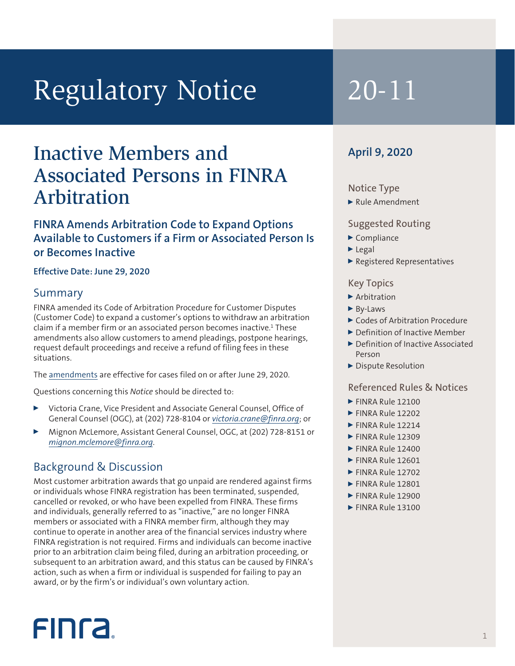# Regulatory Notice 20-11

## Inactive Members and Associated Persons in FINRA Arbitration

#### **FINRA Amends Arbitration Code to Expand Options Available to Customers if a Firm or Associated Person Is or Becomes Inactive**

#### **Effective Date: June 29, 2020**

#### Summary

FINRA amended its Code of Arbitration Procedure for Customer Disputes (Customer Code) to expand a customer's options to withdraw an arbitration claim if a member firm or an associated person becomes inactive.<sup>1</sup> These amendments also allow customers to amend pleadings, postpone hearings, request default proceedings and receive a refund of filing fees in these situations.

The amendments are effective for cases filed on or after June 29, 2020.

Questions concerning this *Notice* should be directed to:

- <sup>0</sup> Victoria Crane, Vice President and Associate General Counsel, Office of General Counsel (OGC), at (202) 728-8104 or *victoria.crane@finra.org*; or
- <sup>0</sup> Mignon McLemore, Assistant General Counsel, OGC, at (202) 728-8151 or *mignon.mclemore@finra.org*.

#### Background & Discussion

**FINCA** 

Most customer arbitration awards that go unpaid are rendered against firms or individuals whose FINRA registration has been terminated, suspended, cancelled or revoked, or who have been expelled from FINRA. These firms and individuals, generally referred to as "inactive," are no longer FINRA members or associated with a FINRA member firm, although they may continue to operate in another area of the financial services industry where FINRA registration is not required. Firms and individuals can become inactive prior to an arbitration claim being filed, during an arbitration proceeding, or subsequent to an arbitration award, and this status can be caused by FINRA's action, such as when a firm or individual is suspended for failing to pay an award, or by the firm's or individual's own voluntary action.

#### **April 9, 2020**

#### Notice Type

 $\blacktriangleright$  Rule Amendment

#### Suggested Routing

- $\blacktriangleright$  Compliance
- $\blacktriangleright$  Legal
- <sup>0</sup> Registered Representatives

#### Key Topics

- $\blacktriangleright$  Arbitration
- $\blacktriangleright$  By-Laws
- ▶ Codes of Arbitration Procedure
- Definition of Inactive Member
- ▶ Definition of Inactive Associated Person
- Dispute Resolution

#### Referenced Rules & Notices

1

- $\blacktriangleright$  FINRA Rule 12100
- $\blacktriangleright$  FINRA Rule 12202
- $\blacktriangleright$  FINRA Rule 12214
- $\blacktriangleright$  FINRA Rule 12309
- $\blacktriangleright$  FINRA Rule 12400
- $\blacktriangleright$  FINRA Rule 12601
- $\blacktriangleright$  FINRA Rule 12702
- $\blacktriangleright$  FINRA Rule 12801
- FINRA Rule 12900
- $\blacktriangleright$  FINRA Rule 13100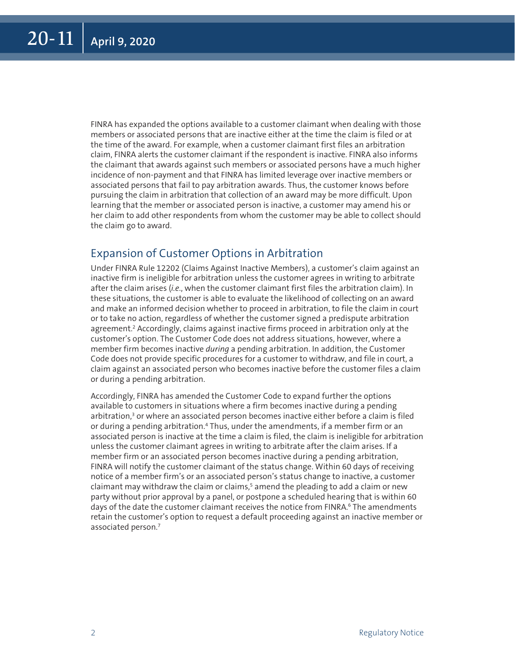FINRA has expanded the options available to a customer claimant when dealing with those members or associated persons that are inactive either at the time the claim is filed or at the time of the award. For example, when a customer claimant first files an arbitration claim, FINRA alerts the customer claimant if the respondent is inactive. FINRA also informs the claimant that awards against such members or associated persons have a much higher incidence of non-payment and that FINRA has limited leverage over inactive members or associated persons that fail to pay arbitration awards. Thus, the customer knows before pursuing the claim in arbitration that collection of an award may be more difficult. Upon learning that the member or associated person is inactive, a customer may amend his or her claim to add other respondents from whom the customer may be able to collect should the claim go to award.

#### Expansion of Customer Options in Arbitration

Under FINRA Rule 12202 (Claims Against Inactive Members), a customer's claim against an inactive firm is ineligible for arbitration unless the customer agrees in writing to arbitrate after the claim arises (*i.e*., when the customer claimant first files the arbitration claim). In these situations, the customer is able to evaluate the likelihood of collecting on an award and make an informed decision whether to proceed in arbitration, to file the claim in court or to take no action, regardless of whether the customer signed a predispute arbitration agreement.2 Accordingly, claims against inactive firms proceed in arbitration only at the customer's option. The Customer Code does not address situations, however, where a member firm becomes inactive *during* a pending arbitration. In addition, the Customer Code does not provide specific procedures for a customer to withdraw, and file in court, a claim against an associated person who becomes inactive before the customer files a claim or during a pending arbitration.

Accordingly, FINRA has amended the Customer Code to expand further the options available to customers in situations where a firm becomes inactive during a pending arbitration,<sup>3</sup> or where an associated person becomes inactive either before a claim is filed or during a pending arbitration.<sup>4</sup> Thus, under the amendments, if a member firm or an associated person is inactive at the time a claim is filed, the claim is ineligible for arbitration unless the customer claimant agrees in writing to arbitrate after the claim arises. If a member firm or an associated person becomes inactive during a pending arbitration, FINRA will notify the customer claimant of the status change. Within 60 days of receiving notice of a member firm's or an associated person's status change to inactive, a customer claimant may withdraw the claim or claims,<sup>5</sup> amend the pleading to add a claim or new party without prior approval by a panel, or postpone a scheduled hearing that is within 60 days of the date the customer claimant receives the notice from FINRA.<sup>6</sup> The amendments retain the customer's option to request a default proceeding against an inactive member or associated person.<sup>7</sup>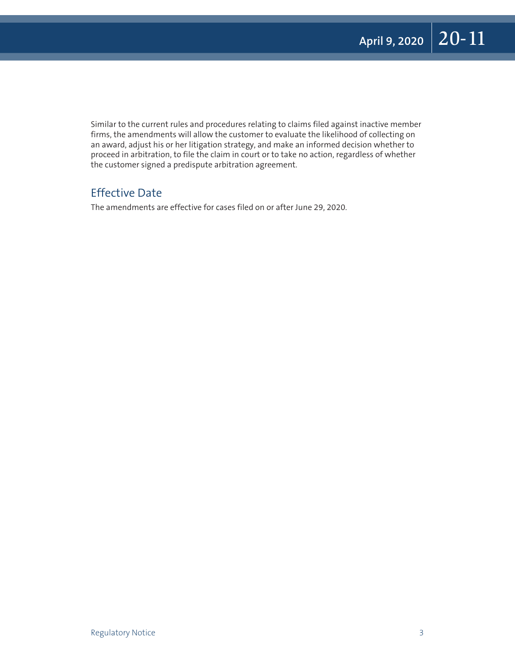Similar to the current rules and procedures relating to claims filed against inactive member firms, the amendments will allow the customer to evaluate the likelihood of collecting on an award, adjust his or her litigation strategy, and make an informed decision whether to proceed in arbitration, to file the claim in court or to take no action, regardless of whether the customer signed a predispute arbitration agreement.

### Effective Date

The amendments are effective for cases filed on or after June 29, 2020.